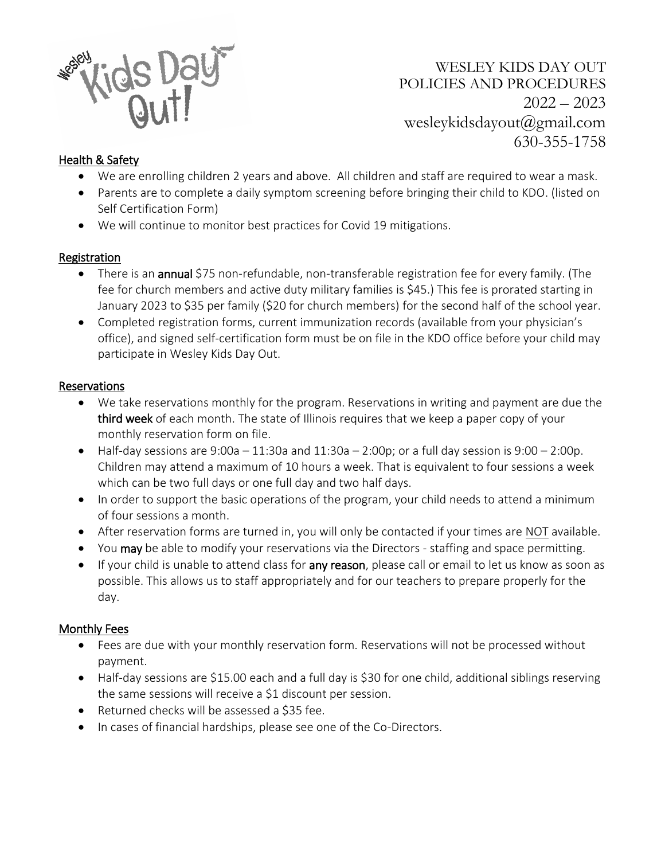

WESLEY KIDS DAY OUT POLICIES AND PROCEDURES  $2022 - 2023$ wesleykidsdayout@gmail.com 630-355-1758

## Health & Safety

- We are enrolling children 2 years and above. All children and staff are required to wear a mask.
- Parents are to complete a daily symptom screening before bringing their child to KDO. (listed on Self Certification Form)
- We will continue to monitor best practices for Covid 19 mitigations.

### Registration

- There is an **annual** \$75 non-refundable, non-transferable registration fee for every family. (The fee for church members and active duty military families is \$45.) This fee is prorated starting in January 2023 to \$35 per family (\$20 for church members) for the second half of the school year.
- Completed registration forms, current immunization records (available from your physician's office), and signed self-certification form must be on file in the KDO office before your child may participate in Wesley Kids Day Out.

### Reservations

- We take reservations monthly for the program. Reservations in writing and payment are due the third week of each month. The state of Illinois requires that we keep a paper copy of your monthly reservation form on file.
- $\bullet$  Half-day sessions are 9:00a  $-11:30$ a and  $11:30$ a  $-2:00$ p; or a full day session is 9:00  $-2:00$ p. Children may attend a maximum of 10 hours a week. That is equivalent to four sessions a week which can be two full days or one full day and two half days.
- In order to support the basic operations of the program, your child needs to attend a minimum of four sessions a month.
- After reservation forms are turned in, you will only be contacted if your times are NOT available.
- You may be able to modify your reservations via the Directors staffing and space permitting.
- If your child is unable to attend class for any reason, please call or email to let us know as soon as possible. This allows us to staff appropriately and for our teachers to prepare properly for the day.

### Monthly Fees

- Fees are due with your monthly reservation form. Reservations will not be processed without payment.
- Half-day sessions are \$15.00 each and a full day is \$30 for one child, additional siblings reserving the same sessions will receive a \$1 discount per session.
- Returned checks will be assessed a \$35 fee.
- In cases of financial hardships, please see one of the Co-Directors.